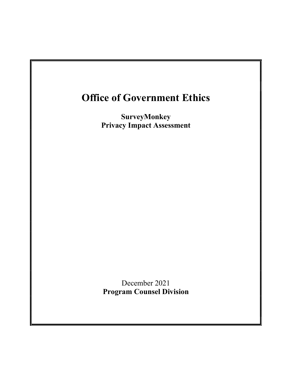# Office of Government Ethics

SurveyMonkey Privacy Impact Assessment

December 2021 Program Counsel Division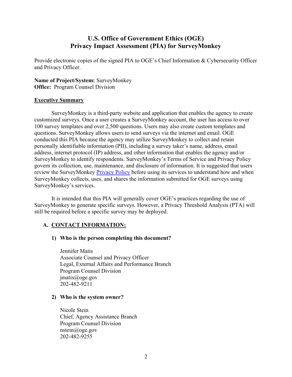## U.S. Office of Government Ethics (OGE) Privacy Impact Assessment (PIA) for SurveyMonkey

Provide electronic copies of the signed PIA to OGE's Chief Information & Cybersecurity Officer and Privacy Officer.

Name of Project/System: SurveyMonkey **Office:** Program Counsel Division

#### Executive Summary

SurveyMonkey is a third-party website and application that enables the agency to create customized surveys. Once a user creates a SurveyMonkey account, the user has access to over 100 survey templates and over 2,500 questions. Users may also create custom templates and questions. SurveyMonkey allows users to send surveys via the internet and email. OGE conducted this PIA because the agency may utilize SurveyMonkey to collect and retain personally identifiable information (PII), including a survey taker's name, address, email address, internet protocol (IP) address, and other information that enables the agency and/or SurveyMonkey to identify respondents. SurveyMonkey's Terms of Service and Privacy Policy govern its collection, use, maintenance, and disclosure of information. It is suggested that users review the SurveyMonkey Privacy Policy before using its services to understand how and when SurveyMonkey collects, uses, and shares the information submitted for OGE surveys using SurveyMonkey's services.

It is intended that this PIA will generally cover OGE's practices regarding the use of SurveyMonkey to generate specific surveys. However, a Privacy Threshold Analysis (PTA) will still be required before a specific survey may be deployed.

## A. CONTACT INFORMATION:

## 1) Who is the person completing this document?

Jennifer Matis Associate Counsel and Privacy Officer Legal, External Affairs and Performance Branch Program Counsel Division jmatis@oge.gov 202-482-9211

#### 2) Who is the system owner?

Nicole Stein Chief, Agency Assistance Branch Program Counsel Division nstein@oge.gov 202-482-9255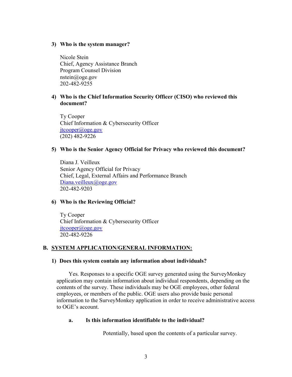#### 3) Who is the system manager?

Nicole Stein Chief, Agency Assistance Branch Program Counsel Division nstein@oge.gov 202-482-9255

### 4) Who is the Chief Information Security Officer (CISO) who reviewed this document?

 Ty Cooper Chief Information & Cybersecurity Officer jtcooper@oge.gov (202) 482-9226

#### 5) Who is the Senior Agency Official for Privacy who reviewed this document?

Diana J. Veilleux Senior Agency Official for Privacy Chief, Legal, External Affairs and Performance Branch Diana.veilleux@oge.gov 202-482-9203

#### 6) Who is the Reviewing Official?

 Ty Cooper Chief Information & Cybersecurity Officer jtcooper@oge.gov 202-482-9226

#### B. SYSTEM APPLICATION/GENERAL INFORMATION:

#### 1) Does this system contain any information about individuals?

Yes. Responses to a specific OGE survey generated using the SurveyMonkey application may contain information about individual respondents, depending on the contents of the survey. These individuals may be OGE employees, other federal employees, or members of the public. OGE users also provide basic personal information to the SurveyMonkey application in order to receive administrative access to OGE's account.

#### a. Is this information identifiable to the individual?

Potentially, based upon the contents of a particular survey.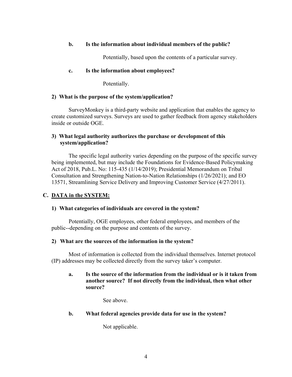### b. Is the information about individual members of the public?

Potentially, based upon the contents of a particular survey.

#### c. Is the information about employees?

Potentially.

#### 2) What is the purpose of the system/application?

SurveyMonkey is a third-party website and application that enables the agency to create customized surveys. Surveys are used to gather feedback from agency stakeholders inside or outside OGE.

### 3) What legal authority authorizes the purchase or development of this system/application?

The specific legal authority varies depending on the purpose of the specific survey being implemented, but may include the Foundations for Evidence-Based Policymaking Act of 2018, Pub.L. No: 115-435 (1/14/2019); Presidential Memorandum on Tribal Consultation and Strengthening Nation-to-Nation Relationships (1/26/2021); and EO 13571, Streamlining Service Delivery and Improving Customer Service (4/27/2011).

## C. DATA in the SYSTEM:

## 1) What categories of individuals are covered in the system?

 Potentially, OGE employees, other federal employees, and members of the public--depending on the purpose and contents of the survey.

#### 2) What are the sources of the information in the system?

Most of information is collected from the individual themselves. Internet protocol (IP) addresses may be collected directly from the survey taker's computer.

### a. Is the source of the information from the individual or is it taken from another source? If not directly from the individual, then what other source?

See above.

#### b. What federal agencies provide data for use in the system?

Not applicable.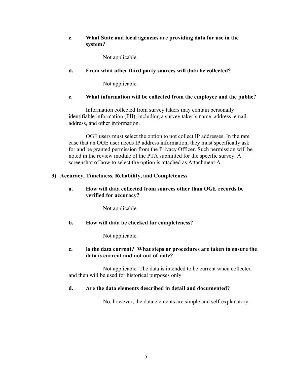### c. What State and local agencies are providing data for use in the system?

Not applicable.

### d. From what other third party sources will data be collected?

Not applicable.

#### e. What information will be collected from the employee and the public?

Information collected from survey takers may contain personally identifiable information (PII), including a survey taker's name, address, email address, and other information.

OGE users must select the option to not collect IP addresses. In the rare case that an OGE user needs IP address information, they must specifically ask for and be granted permission from the Privacy Officer. Such permission will be noted in the review module of the PTA submitted for the specific survey. A screenshot of how to select the option is attached as Attachment A.

#### 3) Accuracy, Timeliness, Reliability, and Completeness

#### a. How will data collected from sources other than OGE records be verified for accuracy?

Not applicable.

#### b. How will data be checked for completeness?

Not applicable.

#### c. Is the data current? What steps or procedures are taken to ensure the data is current and not out-of-date?

Not applicable. The data is intended to be current when collected and then will be used for historical purposes only.

#### d. Are the data elements described in detail and documented?

No, however, the data elements are simple and self-explanatory.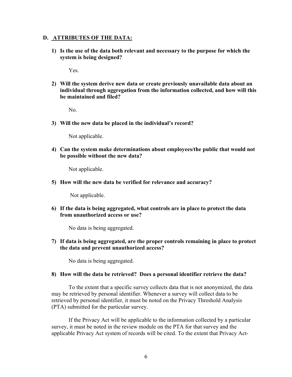#### D. ATTRIBUTES OF THE DATA:

1) Is the use of the data both relevant and necessary to the purpose for which the system is being designed?

Yes.

2) Will the system derive new data or create previously unavailable data about an individual through aggregation from the information collected, and how will this be maintained and filed?

No.

3) Will the new data be placed in the individual's record?

Not applicable.

4) Can the system make determinations about employees/the public that would not be possible without the new data?

Not applicable.

5) How will the new data be verified for relevance and accuracy?

Not applicable.

6) If the data is being aggregated, what controls are in place to protect the data from unauthorized access or use?

No data is being aggregated.

7) If data is being aggregated, are the proper controls remaining in place to protect the data and prevent unauthorized access?

No data is being aggregated.

#### 8) How will the data be retrieved? Does a personal identifier retrieve the data?

To the extent that a specific survey collects data that is not anonymized, the data may be retrieved by personal identifier. Whenever a survey will collect data to be retrieved by personal identifier, it must be noted on the Privacy Threshold Analysis (PTA) submitted for the particular survey.

If the Privacy Act will be applicable to the information collected by a particular survey, it must be noted in the review module on the PTA for that survey and the applicable Privacy Act system of records will be cited. To the extent that Privacy Act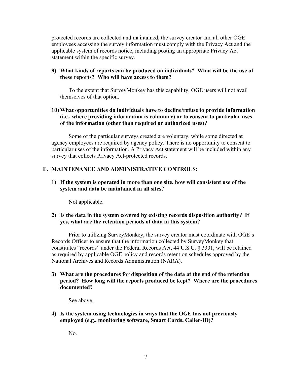protected records are collected and maintained, the survey creator and all other OGE employees accessing the survey information must comply with the Privacy Act and the applicable system of records notice, including posting an appropriate Privacy Act statement within the specific survey.

#### **9) What kinds of reports can be produced on individuals? What will be the use of these reports? Who will have access to them?**

 To the extent that SurveyMonkey has this capability, OGE users will not avail themselves of that option.

## **10) What opportunities do individuals have to decline/refuse to provide information (i.e., where providing information is voluntary) or to consent to particular uses of the information (other than required or authorized uses)?**

Some of the particular surveys created are voluntary, while some directed at agency employees are required by agency policy. There is no opportunity to consent to particular uses of the information. A Privacy Act statement will be included within any survey that collects Privacy Act-protected records.

## **E. MAINTENANCE AND ADMINISTRATIVE CONTROLS:**

**1) If the system is operated in more than one site, how will consistent use of the system and data be maintained in all sites?**

Not applicable.

#### **2) Is the data in the system covered by existing records disposition authority? If yes, what are the retention periods of data in this system?**

Prior to utilizing SurveyMonkey, the survey creator must coordinate with OGE's Records Officer to ensure that the information collected by SurveyMonkey that constitutes "records" under the Federal Records Act, 44 U.S.C. § 3301, will be retained as required by applicable OGE policy and records retention schedules approved by the National Archives and Records Administration (NARA).

**3) What are the procedures for disposition of the data at the end of the retention period? How long will the reports produced be kept? Where are the procedures documented?**

See above.

**4) Is the system using technologies in ways that the OGE has not previously employed (e.g., monitoring software, Smart Cards, Caller-ID)?**

No.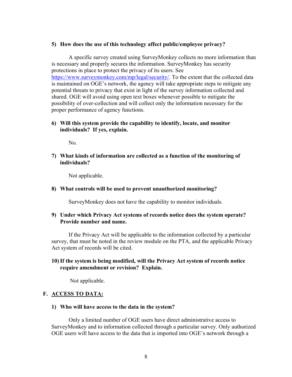#### 5) How does the use of this technology affect public/employee privacy?

 A specific survey created using SurveyMonkey collects no more information than is necessary and properly secures the information. SurveyMonkey has security protections in place to protect the privacy of its users. See https://www.surveymonkey.com/mp/legal/security/. To the extent that the collected data is maintained on OGE's network, the agency will take appropriate steps to mitigate any potential threats to privacy that exist in light of the survey information collected and shared. OGE will avoid using open text boxes whenever possible to mitigate the possibility of over-collection and will collect only the information necessary for the proper performance of agency functions.

#### 6) Will this system provide the capability to identify, locate, and monitor individuals? If yes, explain.

No.

7) What kinds of information are collected as a function of the monitoring of individuals?

Not applicable.

#### 8) What controls will be used to prevent unauthorized monitoring?

SurveyMonkey does not have the capability to monitor individuals.

#### 9) Under which Privacy Act systems of records notice does the system operate? Provide number and name.

If the Privacy Act will be applicable to the information collected by a particular survey, that must be noted in the review module on the PTA, and the applicable Privacy Act system of records will be cited.

#### 10)If the system is being modified, will the Privacy Act system of records notice require amendment or revision? Explain.

Not applicable.

#### F. ACCESS TO DATA:

#### 1) Who will have access to the data in the system?

 Only a limited number of OGE users have direct administrative access to SurveyMonkey and to information collected through a particular survey. Only authorized OGE users will have access to the data that is imported into OGE's network through a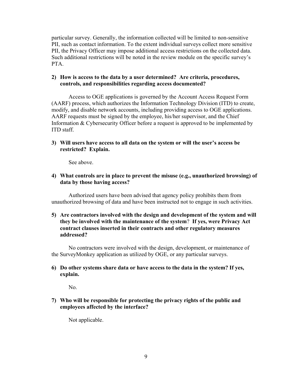particular survey. Generally, the information collected will be limited to non-sensitive PII, such as contact information. To the extent individual surveys collect more sensitive PII, the Privacy Officer may impose additional access restrictions on the collected data. Such additional restrictions will be noted in the review module on the specific survey's PTA.

#### 2) How is access to the data by a user determined? Are criteria, procedures, controls, and responsibilities regarding access documented?

Access to OGE applications is governed by the Account Access Request Form (AARF) process, which authorizes the Information Technology Division (ITD) to create, modify, and disable network accounts, including providing access to OGE applications. AARF requests must be signed by the employee, his/her supervisor, and the Chief Information & Cybersecurity Officer before a request is approved to be implemented by ITD staff.

### 3) Will users have access to all data on the system or will the user's access be restricted? Explain.

See above.

### 4) What controls are in place to prevent the misuse (e.g., unauthorized browsing) of data by those having access?

Authorized users have been advised that agency policy prohibits them from unauthorized browsing of data and have been instructed not to engage in such activities.

#### 5) Are contractors involved with the design and development of the system and will they be involved with the maintenance of the system? If yes, were Privacy Act contract clauses inserted in their contracts and other regulatory measures addressed?

 No contractors were involved with the design, development, or maintenance of the SurveyMonkey application as utilized by OGE, or any particular surveys.

#### 6) Do other systems share data or have access to the data in the system? If yes, explain.

No.

## 7) Who will be responsible for protecting the privacy rights of the public and employees affected by the interface?

Not applicable.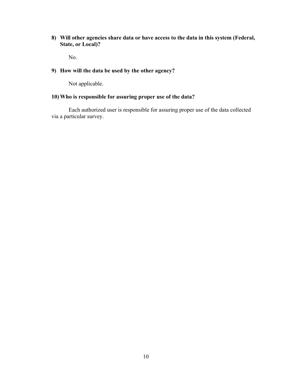8) Will other agencies share data or have access to the data in this system (Federal, State, or Local)?

No.

## 9) How will the data be used by the other agency?

Not applicable.

## 10) Who is responsible for assuring proper use of the data?

Each authorized user is responsible for assuring proper use of the data collected via a particular survey.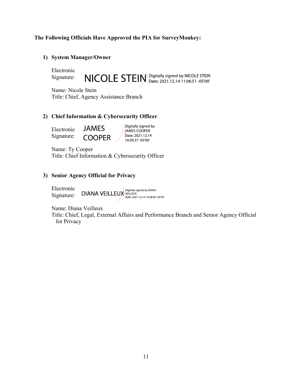#### The Following Officials Have Approved the PIA for SurveyMonkey:

#### 1) System Manager/Owner

Electronic Signature:

NICOLE STEIN Digitally signed by NICOLE STEIN

Name: Nicole Stein Title: Chief, Agency Assistance Branch

#### 2) Chief Information & Cybersecurity Officer

**JAMES** Electronic Signature: **COOPER** 

Digitally signed by JAMES COOPER Date: 2021.12.14 10:50:37 -05'00'

Name: Ty Cooper Title: Chief Information & Cybersecurity Officer

### 3) Senior Agency Official for Privacy

Electronic  $DIANA$  VEILLEUX VEILLEUX 12.112.14 10:58:29 -05'00' Signature:

Name: Diana Veilleux

Title: Chief, Legal, External Affairs and Performance Branch and Senior Agency Official for Privacy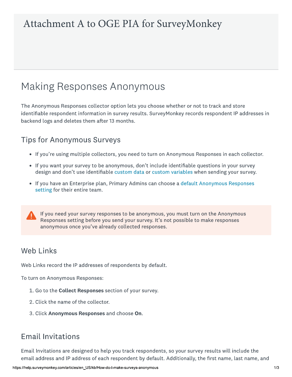# Attachment A to OGE PIA for SurveyMonkey

# **Making Responses Anonymous**

The Anonymous Responses collector option lets you choose whether or not to track and store identifiable respondent information in survey results. SurveyMonkey records respondent IP addresses in backend logs and deletes them after 13 months.

# **Tips for Anonymous Surveys**

- If you're using multiple collectors, you need to turn on Anonymous Responses in each collector.
- If you want your survey to be anonymous, don't include identifiable questions in your survey design and don't use identifiable custom data or custom variables when sending your survey.
- If you have an Enterprise plan, Primary Admins can choose a default Anonymous Responses setting for their entire team.

If you need your survey responses to be anonymous, you must turn on the Anonymous Responses setting before you send your survey. It's not possible to make responses anonymous once you've already collected responses.

# **Web Links**

Web Links record the IP addresses of respondents by default.

To turn on Anonymous Responses:

- 1. Go to the Collect Responses section of your survey.
- 2. Click the name of the collector.
- 3. Click Anonymous Responses and choose On.

# **Email Invitations**

Email Invitations are designed to help you track respondents, so your survey results will include the email address and IP address of each respondent by default. Additionally, the first name, last name, and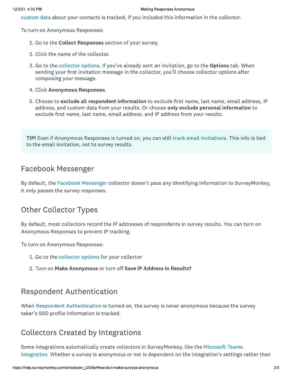custom data about your contacts is tracked, if you included this information in the collector.

To turn on Anonymous Responses:

- 1. Go to the Collect Responses section of your survey.
- 2. Click the name of the collector.
- 3. Go to the collector options. If you've already sent an invitation, go to the **Options** tab. When sending your first invitation message in the collector, you'll choose collector options after composing your message.
- 4. Click Anonymous Responses.
- 5. Choose to exclude all respondent information to exclude first name, last name, email address, IP address, and custom data from your results. Or choose only exclude personal information to exclude first name, last name, email address, and IP address from your results.

TIP! Even if Anonymous Responses is turned on, you can still track email invitations. This info is tied to the email invitation, not to survey results.

# Facebook Messenger

By default, the Facebook Messenger collector doesn't pass any identifying information to SurveyMonkey, it only passes the survey responses.

# **Other Collector Types**

By default, most collectors record the IP addresses of respondents in survey results. You can turn on Anonymous Responses to prevent IP tracking.

To turn on Anonymous Responses:

- 1. Go to the collector options for your collector
- 2. Turn on Make Anonymous or turn off Save IP Address in Results?

# **Respondent Authentication**

When Respondent Authentication is turned on, the survey is never anonymous because the survey taker's SSO profile information is tracked.

# **Collectors Created by Integrations**

Some integrations automatically create collectors in SurveyMonkey, like the Microsoft Teams integration. Whether a survey is anonymous or not is dependent on the integration's settings rather than